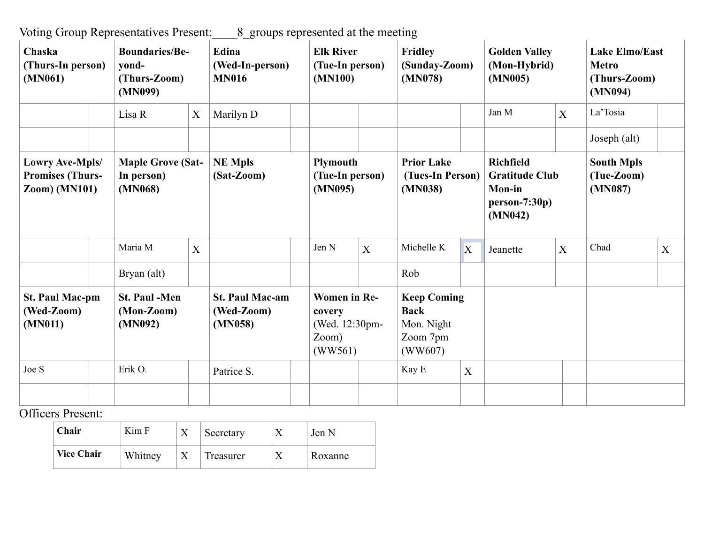Voting Group Representatives Present:\_\_\_\_8\_groups represented at the meeting

| Chaska<br>(Thurs-In person)<br>(MN061)                                    |  | <b>Boundaries/Be-</b><br>yond-<br>(Thurs-Zoom)<br>(MN099) |   | Edina<br>(Wed-In-person)<br><b>MN016</b>        | <b>Elk River</b><br>(Tue-In person)<br>(MN100)                      |   | <b>Fridley</b><br>(Sunday-Zoom)<br>(MN078)                             |   | <b>Golden Valley</b><br>(Mon-Hybrid)<br>(MN005)                                          |   | <b>Lake Elmo/East</b><br><b>Metro</b><br>(Thurs-Zoom)<br>(MN094) |   |
|---------------------------------------------------------------------------|--|-----------------------------------------------------------|---|-------------------------------------------------|---------------------------------------------------------------------|---|------------------------------------------------------------------------|---|------------------------------------------------------------------------------------------|---|------------------------------------------------------------------|---|
|                                                                           |  | Lisa R                                                    | X | Marilyn D                                       |                                                                     |   |                                                                        |   | Jan M                                                                                    | X | La'Tosia                                                         |   |
|                                                                           |  |                                                           |   |                                                 |                                                                     |   |                                                                        |   |                                                                                          |   | Joseph (alt)                                                     |   |
| <b>Lowry Ave-Mpls/</b><br><b>Promises (Thurs-</b><br><b>Zoom)</b> (MN101) |  | <b>Maple Grove (Sat-</b><br>In person)<br>(MN068)         |   | <b>NE Mpls</b><br>(Sat-Zoom)                    | Plymouth<br>(Tue-In person)<br>(MN095)                              |   | <b>Prior Lake</b><br>(Tues-In Person)<br>(MN038)                       |   | <b>Richfield</b><br><b>Gratitude Club</b><br><b>Mon-in</b><br>$person-7:30p)$<br>(MN042) |   | <b>South Mpls</b><br>(Tue-Zoom)<br>(MN087)                       |   |
|                                                                           |  | Maria M                                                   | X |                                                 | Jen N                                                               | X | Michelle K                                                             | X | Jeanette                                                                                 | X | Chad                                                             | X |
|                                                                           |  | Bryan (alt)                                               |   |                                                 |                                                                     |   | Rob                                                                    |   |                                                                                          |   |                                                                  |   |
| <b>St. Paul Mac-pm</b><br>(Wed-Zoom)<br>(MN011)                           |  | <b>St. Paul -Men</b><br>$(Mon-Zoom)$<br>(MN092)           |   | <b>St. Paul Mac-am</b><br>(Wed-Zoom)<br>(MN058) | <b>Women</b> in Re-<br>covery<br>(Wed. 12:30pm-<br>Zoom)<br>(WW561) |   | <b>Keep Coming</b><br><b>Back</b><br>Mon. Night<br>Zoom 7pm<br>(WW607) |   |                                                                                          |   |                                                                  |   |
| Joe S                                                                     |  | Erik O.                                                   |   | Patrice S.                                      |                                                                     |   | Kay E                                                                  | X |                                                                                          |   |                                                                  |   |
|                                                                           |  |                                                           |   |                                                 |                                                                     |   |                                                                        |   |                                                                                          |   |                                                                  |   |

Officers Present:

| Chair             | Kim F   | Secretary | Jen N   |
|-------------------|---------|-----------|---------|
| <b>Vice Chair</b> | Whitney | Treasurer | Roxanne |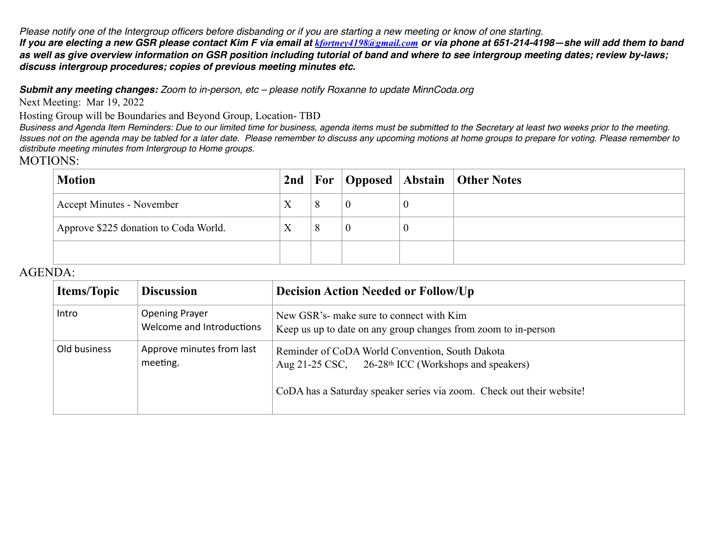*Please notify one of the Intergroup officers before disbanding or if you are starting a new meeting or know of one starting. If you are electing a new GSR please contact Kim F via email at [kfortney4198@gmail.com](mailto:kfortney4198@gmail.com) or via phone at 651-214-4198—she will add them to band as well as give overview information on GSR position including tutorial of band and where to see intergroup meeting dates; review by-laws; discuss intergroup procedures; copies of previous meeting minutes etc.* 

*Submit any meeting changes: Zoom to in-person, etc – please notify Roxanne to update MinnCoda.org*

Next Meeting: Mar 19, 2022

Hosting Group will be Boundaries and Beyond Group, Location- TBD

*Business and Agenda Item Reminders: Due to our limited time for business, agenda items must be submitted to the Secretary at least two weeks prior to the meeting. Issues not on the agenda may be tabled for a later date. Please remember to discuss any upcoming motions at home groups to prepare for voting. Please remember to distribute meeting minutes from Intergroup to Home groups.*

## MOTIONS:

| <b>Motion</b>                         | 2 <sub>nd</sub> |          |          | <b>For Opposed Abstain Other Notes</b> |
|---------------------------------------|-----------------|----------|----------|----------------------------------------|
| <b>Accept Minutes - November</b>      | Χ               | $\bf{0}$ | $\bf{0}$ |                                        |
| Approve \$225 donation to Coda World. |                 | $\bf{0}$ | $\bf{0}$ |                                        |
|                                       |                 |          |          |                                        |

## AGENDA:

| <b>Items/Topic</b> | <b>Discussion</b>                                  | <b>Decision Action Needed or Follow/Up</b>                                                                                                                                                  |
|--------------------|----------------------------------------------------|---------------------------------------------------------------------------------------------------------------------------------------------------------------------------------------------|
| Intro              | <b>Opening Prayer</b><br>Welcome and Introductions | New GSR's- make sure to connect with Kim<br>Keep us up to date on any group changes from zoom to in-person                                                                                  |
| Old business       | Approve minutes from last<br>meeting.              | Reminder of CoDA World Convention, South Dakota<br>Aug 21-25 CSC, 26-28 <sup>th</sup> ICC (Workshops and speakers)<br>CoDA has a Saturday speaker series via zoom. Check out their website! |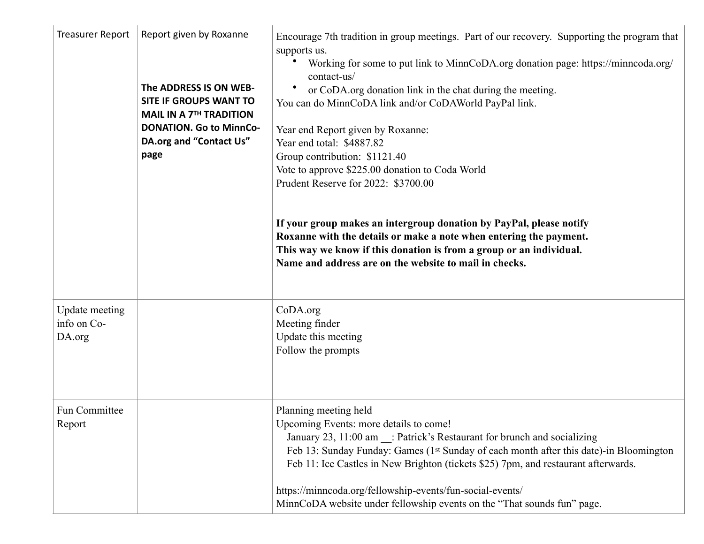| <b>Treasurer Report</b>                        | Report given by Roxanne<br>The ADDRESS IS ON WEB-<br>SITE IF GROUPS WANT TO<br><b>MAIL IN A 7TH TRADITION</b><br><b>DONATION. Go to MinnCo-</b><br>DA.org and "Contact Us"<br>page | Encourage 7th tradition in group meetings. Part of our recovery. Supporting the program that<br>supports us.<br>Working for some to put link to MinnCoDA.org donation page: https://minncoda.org/<br>contact-us/<br>or CoDA.org donation link in the chat during the meeting.<br>You can do MinnCoDA link and/or CoDAWorld PayPal link.<br>Year end Report given by Roxanne:<br>Year end total: \$4887.82<br>Group contribution: \$1121.40<br>Vote to approve \$225.00 donation to Coda World<br>Prudent Reserve for 2022: \$3700.00<br>If your group makes an intergroup donation by PayPal, please notify<br>Roxanne with the details or make a note when entering the payment.<br>This way we know if this donation is from a group or an individual.<br>Name and address are on the website to mail in checks. |
|------------------------------------------------|------------------------------------------------------------------------------------------------------------------------------------------------------------------------------------|--------------------------------------------------------------------------------------------------------------------------------------------------------------------------------------------------------------------------------------------------------------------------------------------------------------------------------------------------------------------------------------------------------------------------------------------------------------------------------------------------------------------------------------------------------------------------------------------------------------------------------------------------------------------------------------------------------------------------------------------------------------------------------------------------------------------|
| <b>Update meeting</b><br>info on Co-<br>DA.org |                                                                                                                                                                                    | CoDA.org<br>Meeting finder<br>Update this meeting<br>Follow the prompts                                                                                                                                                                                                                                                                                                                                                                                                                                                                                                                                                                                                                                                                                                                                            |
| Fun Committee<br>Report                        |                                                                                                                                                                                    | Planning meeting held<br>Upcoming Events: more details to come!<br>January 23, 11:00 am _: Patrick's Restaurant for brunch and socializing<br>Feb 13: Sunday Funday: Games (1st Sunday of each month after this date)-in Bloomington<br>Feb 11: Ice Castles in New Brighton (tickets \$25) 7pm, and restaurant afterwards.<br>https://minncoda.org/fellowship-events/fun-social-events/<br>MinnCoDA website under fellowship events on the "That sounds fun" page.                                                                                                                                                                                                                                                                                                                                                 |